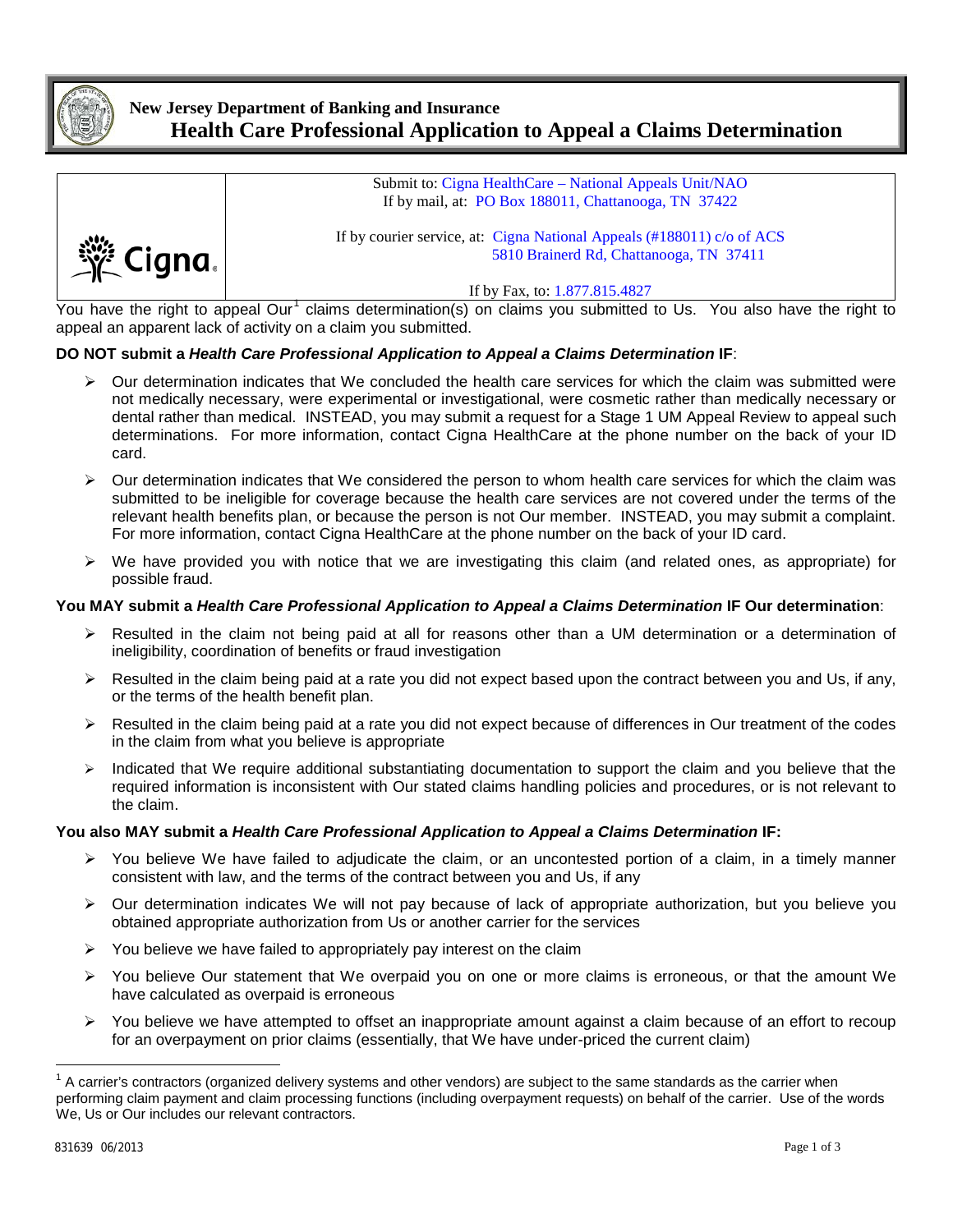

## **New Jersey Department of Banking and Insurance Health Care Professional Application to Appeal a Claims Determination**



If by Fax, to: 1.877.815.4827

You have the right to appeal Our<sup>[1](#page-0-0)</sup> claims determination(s) on claims you submitted to Us. You also have the right to appeal an apparent lack of activity on a claim you submitted.

## **DO NOT submit a** *Health Care Professional Application to Appeal a Claims Determination* **IF**:

- $\triangleright$  Our determination indicates that We concluded the health care services for which the claim was submitted were not medically necessary, were experimental or investigational, were cosmetic rather than medically necessary or dental rather than medical. INSTEAD, you may submit a request for a Stage 1 UM Appeal Review to appeal such determinations. For more information, contact Cigna HealthCare at the phone number on the back of your ID card.
- Our determination indicates that We considered the person to whom health care services for which the claim was submitted to be ineligible for coverage because the health care services are not covered under the terms of the relevant health benefits plan, or because the person is not Our member. INSTEAD, you may submit a complaint. For more information, contact Cigna HealthCare at the phone number on the back of your ID card.
- $\triangleright$  We have provided you with notice that we are investigating this claim (and related ones, as appropriate) for possible fraud.

## **You MAY submit a** *Health Care Professional Application to Appeal a Claims Determination* **IF Our determination**:

- Resulted in the claim not being paid at all for reasons other than a UM determination or a determination of ineligibility, coordination of benefits or fraud investigation
- $\triangleright$  Resulted in the claim being paid at a rate you did not expect based upon the contract between you and Us, if any, or the terms of the health benefit plan.
- $\triangleright$  Resulted in the claim being paid at a rate you did not expect because of differences in Our treatment of the codes in the claim from what you believe is appropriate
- $\triangleright$  Indicated that We require additional substantiating documentation to support the claim and you believe that the required information is inconsistent with Our stated claims handling policies and procedures, or is not relevant to the claim.

## **You also MAY submit a** *Health Care Professional Application to Appeal a Claims Determination* **IF:**

- $\triangleright$  You believe We have failed to adjudicate the claim, or an uncontested portion of a claim, in a timely manner consistent with law, and the terms of the contract between you and Us, if any
- Our determination indicates We will not pay because of lack of appropriate authorization, but you believe you obtained appropriate authorization from Us or another carrier for the services
- $\triangleright$  You believe we have failed to appropriately pay interest on the claim
- $\triangleright$  You believe Our statement that We overpaid you on one or more claims is erroneous, or that the amount We have calculated as overpaid is erroneous
- $\triangleright$  You believe we have attempted to offset an inappropriate amount against a claim because of an effort to recoup for an overpayment on prior claims (essentially, that We have under-priced the current claim)

<span id="page-0-0"></span> $1$  A carrier's contractors (organized delivery systems and other vendors) are subject to the same standards as the carrier when performing claim payment and claim processing functions (including overpayment requests) on behalf of the carrier. Use of the words We, Us or Our includes our relevant contractors.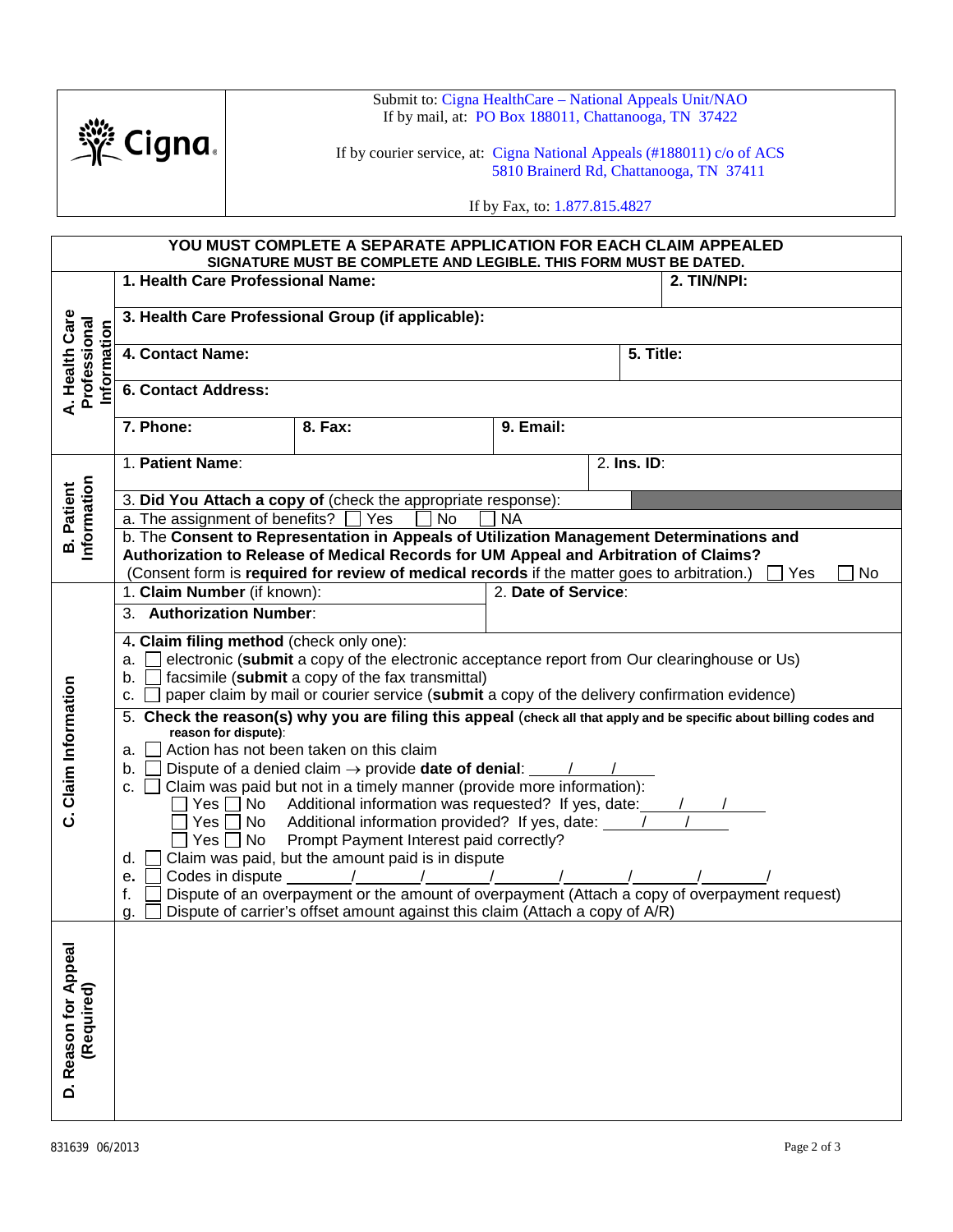

Submit to: Cigna HealthCare – National Appeals Unit/NAO If by mail, at: PO Box 188011, Chattanooga, TN 37422

If by courier service, at: Cigna National Appeals (#188011) c/o of ACS 5810 Brainerd Rd, Chattanooga, TN 37411

If by Fax, to: 1.877.815.4827

| YOU MUST COMPLETE A SEPARATE APPLICATION FOR EACH CLAIM APPEALED<br>SIGNATURE MUST BE COMPLETE AND LEGIBLE. THIS FORM MUST BE DATED. |                                                                                                                                                                                                                                                                                                                                                                                                                                                                                                                                                                                                                                                                                                                                                                                                                                                                                                                                                                                                                                                                                                       |                                                                              |  |  |             |  |
|--------------------------------------------------------------------------------------------------------------------------------------|-------------------------------------------------------------------------------------------------------------------------------------------------------------------------------------------------------------------------------------------------------------------------------------------------------------------------------------------------------------------------------------------------------------------------------------------------------------------------------------------------------------------------------------------------------------------------------------------------------------------------------------------------------------------------------------------------------------------------------------------------------------------------------------------------------------------------------------------------------------------------------------------------------------------------------------------------------------------------------------------------------------------------------------------------------------------------------------------------------|------------------------------------------------------------------------------|--|--|-------------|--|
| A. Health Care<br>Professional<br>Information                                                                                        | 1. Health Care Professional Name:                                                                                                                                                                                                                                                                                                                                                                                                                                                                                                                                                                                                                                                                                                                                                                                                                                                                                                                                                                                                                                                                     |                                                                              |  |  | 2. TIN/NPI: |  |
|                                                                                                                                      | 3. Health Care Professional Group (if applicable):                                                                                                                                                                                                                                                                                                                                                                                                                                                                                                                                                                                                                                                                                                                                                                                                                                                                                                                                                                                                                                                    |                                                                              |  |  |             |  |
|                                                                                                                                      | 4. Contact Name:                                                                                                                                                                                                                                                                                                                                                                                                                                                                                                                                                                                                                                                                                                                                                                                                                                                                                                                                                                                                                                                                                      |                                                                              |  |  | 5. Title:   |  |
|                                                                                                                                      | 6. Contact Address:                                                                                                                                                                                                                                                                                                                                                                                                                                                                                                                                                                                                                                                                                                                                                                                                                                                                                                                                                                                                                                                                                   |                                                                              |  |  |             |  |
|                                                                                                                                      | 7. Phone:<br>8. Fax:<br>9. Email:                                                                                                                                                                                                                                                                                                                                                                                                                                                                                                                                                                                                                                                                                                                                                                                                                                                                                                                                                                                                                                                                     |                                                                              |  |  |             |  |
| Information<br><b>B.</b> Patient                                                                                                     | 1. Patient Name:                                                                                                                                                                                                                                                                                                                                                                                                                                                                                                                                                                                                                                                                                                                                                                                                                                                                                                                                                                                                                                                                                      | 2. Ins. ID:                                                                  |  |  |             |  |
|                                                                                                                                      | 3. Did You Attach a copy of (check the appropriate response):                                                                                                                                                                                                                                                                                                                                                                                                                                                                                                                                                                                                                                                                                                                                                                                                                                                                                                                                                                                                                                         |                                                                              |  |  |             |  |
|                                                                                                                                      | a. The assignment of benefits?<br><b>No</b><br>Yes<br><b>NA</b>                                                                                                                                                                                                                                                                                                                                                                                                                                                                                                                                                                                                                                                                                                                                                                                                                                                                                                                                                                                                                                       |                                                                              |  |  |             |  |
|                                                                                                                                      | b. The Consent to Representation in Appeals of Utilization Management Determinations and<br>Authorization to Release of Medical Records for UM Appeal and Arbitration of Claims?                                                                                                                                                                                                                                                                                                                                                                                                                                                                                                                                                                                                                                                                                                                                                                                                                                                                                                                      |                                                                              |  |  |             |  |
|                                                                                                                                      | (Consent form is required for review of medical records if the matter goes to arbitration.)<br>No<br>l Yes<br>1. Claim Number (if known):<br>2. Date of Service:                                                                                                                                                                                                                                                                                                                                                                                                                                                                                                                                                                                                                                                                                                                                                                                                                                                                                                                                      |                                                                              |  |  |             |  |
|                                                                                                                                      | <b>Authorization Number:</b><br>3.                                                                                                                                                                                                                                                                                                                                                                                                                                                                                                                                                                                                                                                                                                                                                                                                                                                                                                                                                                                                                                                                    |                                                                              |  |  |             |  |
| C. Claim Information                                                                                                                 | 4. Claim filing method (check only one):<br>electronic (submit a copy of the electronic acceptance report from Our clearinghouse or Us)<br>a.<br>facsimile (submit a copy of the fax transmittal)<br>b.<br>paper claim by mail or courier service (submit a copy of the delivery confirmation evidence)<br>c.<br>5. Check the reason(s) why you are filing this appeal (check all that apply and be specific about billing codes and<br>reason for dispute):<br>Action has not been taken on this claim<br>a.<br>Dispute of a denied claim $\rightarrow$ provide date of denial: $\frac{1}{\sqrt{2}}$<br>b.<br>Claim was paid but not in a timely manner (provide more information):<br>C.<br>Yes No Additional information was requested? If yes, date:<br>Additional information provided? If yes, date: 1<br>$Yes \Box No$<br>Prompt Payment Interest paid correctly?<br>$Yes \Box No$<br>Claim was paid, but the amount paid is in dispute<br>d.<br>Codes in dispute $\frac{1}{2}$ /<br>е.<br>Dispute of an overpayment or the amount of overpayment (Attach a copy of overpayment request)<br>f. |                                                                              |  |  |             |  |
| D. Reason for Appeal<br>(Required)                                                                                                   | g.                                                                                                                                                                                                                                                                                                                                                                                                                                                                                                                                                                                                                                                                                                                                                                                                                                                                                                                                                                                                                                                                                                    | Dispute of carrier's offset amount against this claim (Attach a copy of A/R) |  |  |             |  |